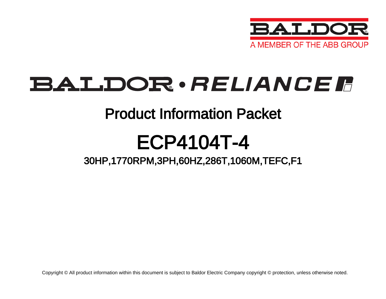

# **BALDOR**·RELIANCER

### Product Information Packet

# ECP4104T-4

### 30HP,1770RPM,3PH,60HZ,286T,1060M,TEFC,F1

Copyright © All product information within this document is subject to Baldor Electric Company copyright © protection, unless otherwise noted.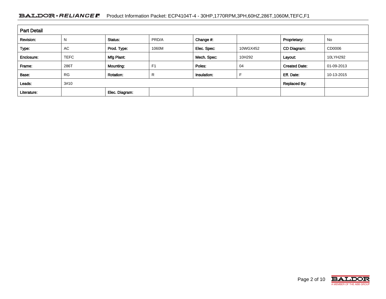#### BALDOR · RELIANCE F Product Information Packet: ECP4104T-4 - 30HP,1770RPM,3PH,60HZ,286T,1060M,TEFC,F1

| <b>Part Detail</b> |             |                  |                |             |          |                      |            |  |  |
|--------------------|-------------|------------------|----------------|-------------|----------|----------------------|------------|--|--|
| Revision:          | N           | Status:          | PRD/A          | Change #:   |          | Proprietary:         | No         |  |  |
| Type:              | <b>AC</b>   | Prod. Type:      | 1060M          | Elec. Spec: | 10WGX452 | CD Diagram:          | CD0006     |  |  |
| Enclosure:         | <b>TEFC</b> | Mfg Plant:       |                | Mech. Spec: | 10H292   | Layout:              | 10LYH292   |  |  |
| Frame:             | 286T        | Mounting:        | F <sub>1</sub> | Poles:      | 04       | <b>Created Date:</b> | 01-09-2013 |  |  |
| Base:              | <b>RG</b>   | <b>Rotation:</b> | R              | Insulation: |          | Eff. Date:           | 10-13-2015 |  |  |
| Leads:             | 3#10        |                  |                |             |          | <b>Replaced By:</b>  |            |  |  |
| Literature:        |             | Elec. Diagram:   |                |             |          |                      |            |  |  |

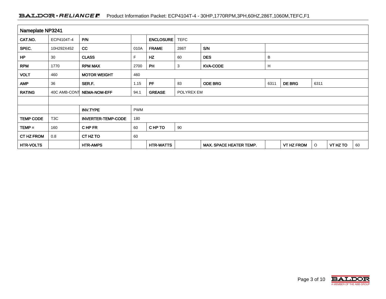#### BALDOR · RELIANCE F Product Information Packet: ECP4104T-4 - 30HP,1770RPM,3PH,60HZ,286T,1060M,TEFC,F1

| Nameplate NP3241  |                  |                               |                                     |                  |                           |                                                 |  |            |   |          |    |
|-------------------|------------------|-------------------------------|-------------------------------------|------------------|---------------------------|-------------------------------------------------|--|------------|---|----------|----|
| CAT.NO.           | ECP4104T-4       | P/N                           |                                     | <b>ENCLOSURE</b> | <b>TEFC</b>               |                                                 |  |            |   |          |    |
| SPEC.             | 10H292X452       | cc                            | 010A                                | <b>FRAME</b>     | 286T                      | S/N                                             |  |            |   |          |    |
| HP                | 30               | <b>CLASS</b>                  | F                                   | <b>HZ</b>        | 60                        | <b>DES</b><br>B                                 |  |            |   |          |    |
| <b>RPM</b>        | 1770             | <b>RPM MAX</b>                | 2700                                | PH               | <b>KVA-CODE</b><br>H<br>3 |                                                 |  |            |   |          |    |
| <b>VOLT</b>       | 460              | <b>MOTOR WEIGHT</b>           | 460                                 |                  |                           |                                                 |  |            |   |          |    |
| <b>AMP</b>        | 36               | SER.F.                        | 1.15                                | <b>PF</b>        | 83                        | <b>ODE BRG</b><br><b>DE BRG</b><br>6311<br>6311 |  |            |   |          |    |
| <b>RATING</b>     | 40C AMB-CONT     | <b>NEMA-NOM-EFF</b>           | <b>GREASE</b><br>POLYREX EM<br>94.1 |                  |                           |                                                 |  |            |   |          |    |
|                   |                  |                               |                                     |                  |                           |                                                 |  |            |   |          |    |
|                   |                  | <b>PWM</b><br><b>INV.TYPE</b> |                                     |                  |                           |                                                 |  |            |   |          |    |
| <b>TEMP CODE</b>  | T <sub>3</sub> C | <b>INVERTER-TEMP-CODE</b>     | 180                                 |                  |                           |                                                 |  |            |   |          |    |
| $TEMP =$          | 160              | CHP FR                        | 60                                  | CHP TO           | 90                        |                                                 |  |            |   |          |    |
| <b>CT HZ FROM</b> | 0.8              | CT HZ TO                      | 60                                  |                  |                           |                                                 |  |            |   |          |    |
| <b>HTR-VOLTS</b>  |                  | <b>HTR-AMPS</b>               |                                     | <b>HTR-WATTS</b> |                           | <b>MAX. SPACE HEATER TEMP.</b>                  |  | VT HZ FROM | O | VT HZ TO | 60 |

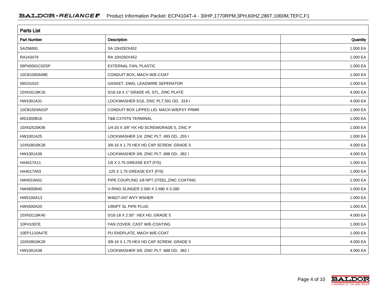| <b>Parts List</b>  |                                            |          |  |  |  |  |  |
|--------------------|--------------------------------------------|----------|--|--|--|--|--|
| <b>Part Number</b> | Description                                | Quantity |  |  |  |  |  |
| SA256691           | SA 10H292X452                              | 1.000 EA |  |  |  |  |  |
| RA243479           | RA 10H292X452                              | 1.000 EA |  |  |  |  |  |
| 09FN5001C02SP      | EXTERNAL FAN, PLASTIC                      | 1.000 EA |  |  |  |  |  |
| 10CB1000A09E       | CONDUIT BOX, MACH W/E-COAT                 | 1.000 EA |  |  |  |  |  |
| 09GS1010           | GASKET, DWG, LEADWIRE SEPERATOR            | 1.000 EA |  |  |  |  |  |
| 10XN3118K16        | 5/16-18 X 1" GRADE #5, STL, ZINC PLATE     | 4.000 EA |  |  |  |  |  |
| HW1001A31          | LOCKWASHER 5/16, ZINC PLT.591 OD, .319 I   | 4.000 EA |  |  |  |  |  |
| 10CB1503A01P       | CONDUIT BOX LIPPED LID, MACH W/EPXY PRMR   | 1.000 EA |  |  |  |  |  |
| WD1000B16          | T&B CX70TN TERMINAL                        | 1.000 EA |  |  |  |  |  |
| 10XN2520K06        | 1/4-20 X 3/8" HX HD SCREWGRADE 5, ZINC P   | 1.000 EA |  |  |  |  |  |
| HW1001A25          | LOCKWASHER 1/4, ZINC PLT .493 OD, .255 I   | 1.000 EA |  |  |  |  |  |
| 10XN3816K28        | 3/8-16 X 1.75 HEX HD CAP SCREW, GRADE 5    | 4.000 EA |  |  |  |  |  |
| HW1001A38          | LOCKWASHER 3/8, ZINC PLT .688 OD, .382 I   | 4.000 EA |  |  |  |  |  |
| HA4017A11          | 1/8 X 2.75 GREASE EXT (F/S)                | 1.000 EA |  |  |  |  |  |
| HA4017A03          | .125 X 1.75 GREASE EXT (F/S)               | 1.000 EA |  |  |  |  |  |
| HW4019A01          | PIPE COUPLING 1/8 NPT, STEEL, ZINC COATING | 1.000 EA |  |  |  |  |  |
| HW4600B40          | V-RING SLINGER 2.000 X 2.680 X 0.280       | 1.000 EA |  |  |  |  |  |
| HW5100A13          | W4627-047 WVY WSHER                        | 1.000 EA |  |  |  |  |  |
| HW4500A20          | 1/8NPT SL PIPE PLUG                        | 1.000 EA |  |  |  |  |  |
| 10XN3118K40        | 5/16-18 X 2.50" HEX HD, GRADE 5            | 4.000 EA |  |  |  |  |  |
| 10FH1007E          | FAN COVER, CAST W/E-COATING                | 1.000 EA |  |  |  |  |  |
| 10EP1110A47E       | PU ENDPLATE, MACH W/E-COAT                 | 1.000 EA |  |  |  |  |  |
| 10XN3816K28        | 3/8-16 X 1.75 HEX HD CAP SCREW, GRADE 5    | 4.000 EA |  |  |  |  |  |
| HW1001A38          | LOCKWASHER 3/8, ZINC PLT .688 OD, .382 I   | 4.000 EA |  |  |  |  |  |

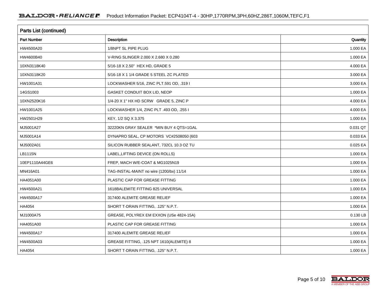| Parts List (continued) |                                          |          |  |  |  |  |  |
|------------------------|------------------------------------------|----------|--|--|--|--|--|
| <b>Part Number</b>     | Description                              | Quantity |  |  |  |  |  |
| HW4500A20              | 1/8NPT SL PIPE PLUG                      | 1.000 EA |  |  |  |  |  |
| HW4600B40              | V-RING SLINGER 2.000 X 2.680 X 0.280     | 1.000 EA |  |  |  |  |  |
| 10XN3118K40            | 5/16-18 X 2.50" HEX HD, GRADE 5          | 4.000 EA |  |  |  |  |  |
| 10XN3118K20            | 5/16-18 X 1 1/4 GRADE 5 STEEL ZC PLATED  | 3.000 EA |  |  |  |  |  |
| HW1001A31              | LOCKWASHER 5/16, ZINC PLT.591 OD, .319 I | 3.000 EA |  |  |  |  |  |
| 14GS1003               | GASKET CONDUIT BOX LID, NEOP             | 1.000 EA |  |  |  |  |  |
| 10XN2520K16            | 1/4-20 X 1" HX HD SCRW GRADE 5, ZINC P   | 4.000 EA |  |  |  |  |  |
| HW1001A25              | LOCKWASHER 1/4, ZINC PLT .493 OD, .255 I | 4.000 EA |  |  |  |  |  |
| HW2501H29              | KEY, 1/2 SQ X 3.375                      | 1.000 EA |  |  |  |  |  |
| MJ5001A27              | 32220KN GRAY SEALER *MIN BUY 4 QTS=1GAL  | 0.031 QT |  |  |  |  |  |
| MJ5001A14              | DYNAPRO SEAL, CP MOTORS VC#2508050 (603  | 0.033 EA |  |  |  |  |  |
| MJ5002A01              | SILICON RUBBER SEALANT, 732CL 10.3 OZ TU | 0.025 EA |  |  |  |  |  |
| LB1115N                | LABEL, LIFTING DEVICE (ON ROLLS)         | 1.000 EA |  |  |  |  |  |
| 10EP1110A44GE6         | FREP, MACH W/E-COAT & MG1025N19          | 1.000 EA |  |  |  |  |  |
| MN416A01               | TAG-INSTAL-MAINT no wire (1200/bx) 11/14 | 1.000 EA |  |  |  |  |  |
| HA4051A00              | PLASTIC CAP FOR GREASE FITTING           | 1.000 EA |  |  |  |  |  |
| HW4500A21              | 1618BALEMITE FITTING 825 UNIVERSAL       | 1.000 EA |  |  |  |  |  |
| HW4500A17              | 317400 ALEMITE GREASE RELIEF             | 1.000 EA |  |  |  |  |  |
| HA4054                 | SHORT T-DRAIN FITTING, .125" N.P.T.      | 1.000 EA |  |  |  |  |  |
| MJ1000A75              | GREASE, POLYREX EM EXXON (USe 4824-15A)  | 0.130 LB |  |  |  |  |  |
| HA4051A00              | PLASTIC CAP FOR GREASE FITTING           | 1.000 EA |  |  |  |  |  |
| HW4500A17              | 317400 ALEMITE GREASE RELIEF             | 1.000 EA |  |  |  |  |  |
| HW4500A03              | GREASE FITTING, .125 NPT 1610(ALEMITE) 8 | 1.000 EA |  |  |  |  |  |
| HA4054                 | SHORT T-DRAIN FITTING, .125" N.P.T.      | 1.000 EA |  |  |  |  |  |

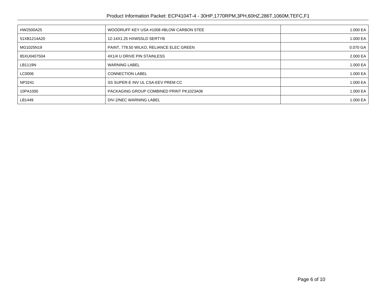| HW2500A25   | WOODRUFF KEY USA #1008 #BLOW CARBON STEE | 1.000 EA |
|-------------|------------------------------------------|----------|
| 51XB1214A20 | 12-14X1.25 HXWSSLD SERTYB                | 1.000 EA |
| MG1025N19   | PAINT, 778.50 WILKO, RELIANCE ELEC GREEN | 0.070 GA |
| 85XU0407S04 | 4X1/4 U DRIVE PIN STAINLESS              | 2.000 EA |
| LB1119N     | <b>WARNING LABEL</b>                     | 1.000 EA |
| LC0006      | <b>CONNECTION LABEL</b>                  | 1.000 EA |
| NP3241      | SS SUPER-E INV UL CSA-EEV PREM CC        | 1.000 EA |
| 10PA1000    | PACKAGING GROUP COMBINED PRINT PK1023A06 | 1.000 EA |
| LB1449      | DIV-2/NEC WARNING LABEL                  | 1.000 EA |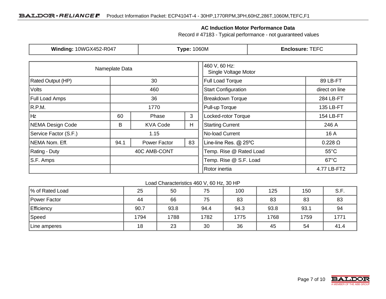#### **AC Induction Motor Performance Data**

Record # 47183 - Typical performance - not guaranteed values

| <b>Winding: 10WGX452-R047</b> |                |                 | <b>Type: 1060M</b>                    |                            | <b>Enclosure: TEFC</b>                   |  |  |
|-------------------------------|----------------|-----------------|---------------------------------------|----------------------------|------------------------------------------|--|--|
|                               | Nameplate Data |                 | 460 V, 60 Hz:<br>Single Voltage Motor |                            |                                          |  |  |
| Rated Output (HP)             |                | 30              | Full Load Torque                      | 89 LB-FT                   |                                          |  |  |
| <b>Volts</b>                  |                | 460             |                                       | <b>Start Configuration</b> | direct on line                           |  |  |
| Full Load Amps                |                | 36              |                                       | <b>Breakdown Torque</b>    | 284 LB-FT                                |  |  |
| R.P.M.                        |                | 1770            |                                       |                            | 135 LB-FT                                |  |  |
| Ηz                            | 60             | 3<br>Phase      |                                       | Locked-rotor Torque        | 154 LB-FT                                |  |  |
| <b>NEMA Design Code</b><br>B  |                | <b>KVA Code</b> | H                                     | <b>Starting Current</b>    | 246 A                                    |  |  |
| Service Factor (S.F.)         | 1.15           |                 |                                       | No-load Current            | 16 A                                     |  |  |
| NEMA Nom. Eff.<br>94.1        |                | Power Factor    | 83                                    | Line-line Res. @ 25°C      | $0.228\ \Omega$                          |  |  |
| Rating - Duty                 |                | 40C AMB-CONT    |                                       | Temp. Rise @ Rated Load    | $55^{\circ}$ C                           |  |  |
| S.F. Amps                     |                |                 |                                       |                            | Temp. Rise @ S.F. Load<br>$67^{\circ}$ C |  |  |
|                               |                |                 | Rotor inertia                         | 4.77 LB-FT2                |                                          |  |  |

#### Load Characteristics 460 V, 60 Hz, 30 HP

| % of Rated Load | 25   | 50   | 75   | 100  | 125  | 150  | S.F. |
|-----------------|------|------|------|------|------|------|------|
| Power Factor    | 44   | 66   | 75   | 83   | 83   | 83   | 83   |
| Efficiency      | 90.7 | 93.8 | 94.4 | 94.3 | 93.8 | 93.1 | 94   |
| Speed           | 1794 | 1788 | 1782 | 1775 | 1768 | 1759 | 1771 |
| Line amperes    | 18   | 23   | 30   | 36   | 45   | 54   | 41.4 |

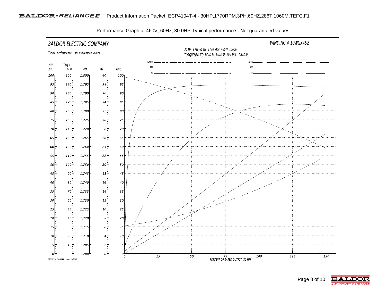

Performance Graph at 460V, 60Hz, 30.0HP Typical performance - Not guaranteed values

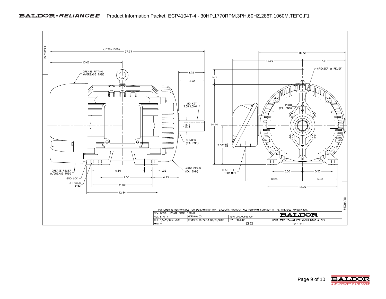